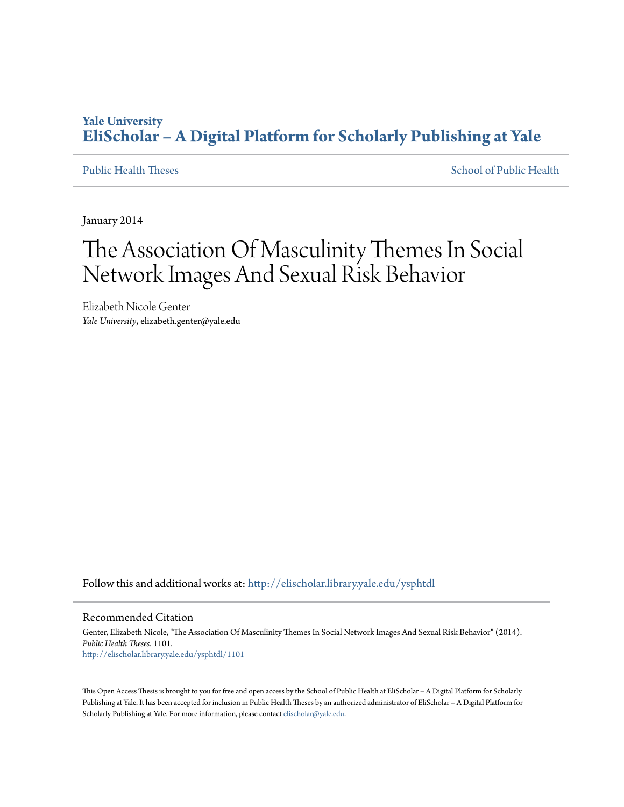# **Yale University [EliScholar – A Digital Platform for Scholarly Publishing at Yale](http://elischolar.library.yale.edu?utm_source=elischolar.library.yale.edu%2Fysphtdl%2F1101&utm_medium=PDF&utm_campaign=PDFCoverPages)**

[Public Health Theses](http://elischolar.library.yale.edu/ysphtdl?utm_source=elischolar.library.yale.edu%2Fysphtdl%2F1101&utm_medium=PDF&utm_campaign=PDFCoverPages) [School of Public Health](http://elischolar.library.yale.edu/ysph?utm_source=elischolar.library.yale.edu%2Fysphtdl%2F1101&utm_medium=PDF&utm_campaign=PDFCoverPages)

January 2014

# The Association Of Masculinity Themes In Social Network Images And Sexual Risk Behavior

Elizabeth Nicole Genter *Yale University*, elizabeth.genter@yale.edu

Follow this and additional works at: [http://elischolar.library.yale.edu/ysphtdl](http://elischolar.library.yale.edu/ysphtdl?utm_source=elischolar.library.yale.edu%2Fysphtdl%2F1101&utm_medium=PDF&utm_campaign=PDFCoverPages)

#### Recommended Citation

Genter, Elizabeth Nicole, "The Association Of Masculinity Themes In Social Network Images And Sexual Risk Behavior" (2014). *Public Health Theses*. 1101. [http://elischolar.library.yale.edu/ysphtdl/1101](http://elischolar.library.yale.edu/ysphtdl/1101?utm_source=elischolar.library.yale.edu%2Fysphtdl%2F1101&utm_medium=PDF&utm_campaign=PDFCoverPages)

This Open Access Thesis is brought to you for free and open access by the School of Public Health at EliScholar – A Digital Platform for Scholarly Publishing at Yale. It has been accepted for inclusion in Public Health Theses by an authorized administrator of EliScholar – A Digital Platform for Scholarly Publishing at Yale. For more information, please contact [elischolar@yale.edu.](mailto:elischolar@yale.edu)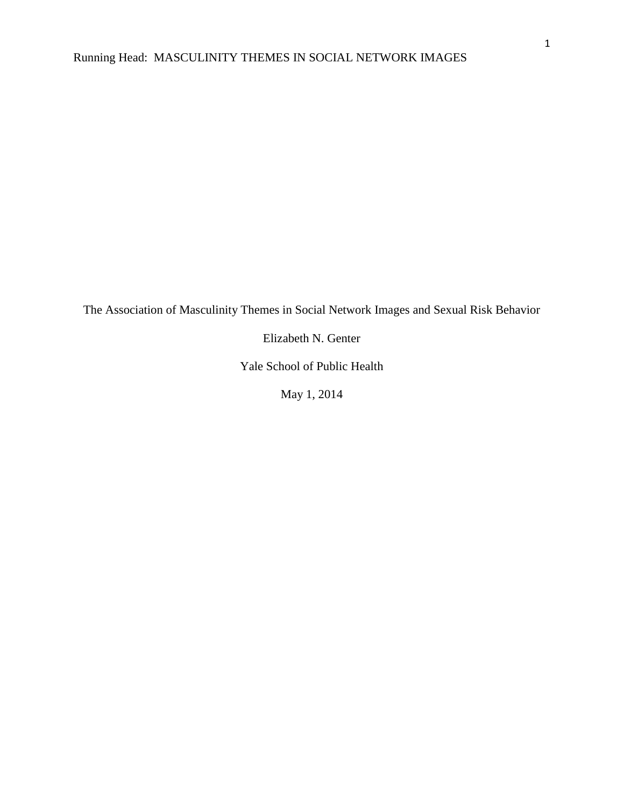The Association of Masculinity Themes in Social Network Images and Sexual Risk Behavior

Elizabeth N. Genter

Yale School of Public Health

May 1, 2014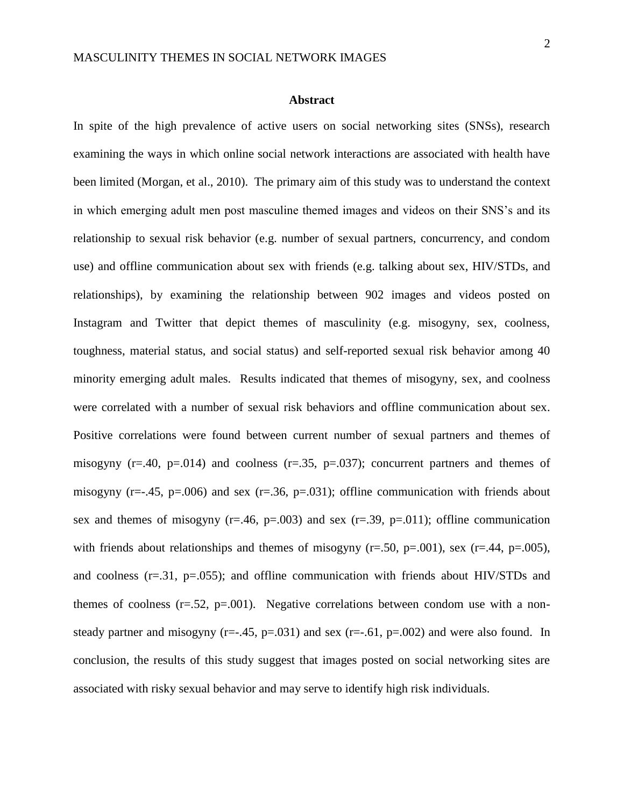#### **Abstract**

In spite of the high prevalence of active users on social networking sites (SNSs), research examining the ways in which online social network interactions are associated with health have been limited (Morgan, et al., 2010). The primary aim of this study was to understand the context in which emerging adult men post masculine themed images and videos on their SNS's and its relationship to sexual risk behavior (e.g. number of sexual partners, concurrency, and condom use) and offline communication about sex with friends (e.g. talking about sex, HIV/STDs, and relationships), by examining the relationship between 902 images and videos posted on Instagram and Twitter that depict themes of masculinity (e.g. misogyny, sex, coolness, toughness, material status, and social status) and self-reported sexual risk behavior among 40 minority emerging adult males. Results indicated that themes of misogyny, sex, and coolness were correlated with a number of sexual risk behaviors and offline communication about sex. Positive correlations were found between current number of sexual partners and themes of misogyny (r=.40, p=.014) and coolness (r=.35, p=.037); concurrent partners and themes of misogyny ( $r=-.45$ ,  $p=.006$ ) and sex ( $r=.36$ ,  $p=.031$ ); offline communication with friends about sex and themes of misogyny  $(r=.46, p=.003)$  and sex  $(r=.39, p=.011)$ ; offline communication with friends about relationships and themes of misogyny ( $r=0.50$ ,  $p=0.01$ ), sex ( $r=0.44$ ,  $p=0.005$ ), and coolness  $(r=0.31, p=0.055)$ ; and offline communication with friends about HIV/STDs and themes of coolness  $(r=.52, p=.001)$ . Negative correlations between condom use with a nonsteady partner and misogyny ( $r=-.45$ ,  $p=.031$ ) and sex ( $r=-.61$ ,  $p=.002$ ) and were also found. In conclusion, the results of this study suggest that images posted on social networking sites are associated with risky sexual behavior and may serve to identify high risk individuals.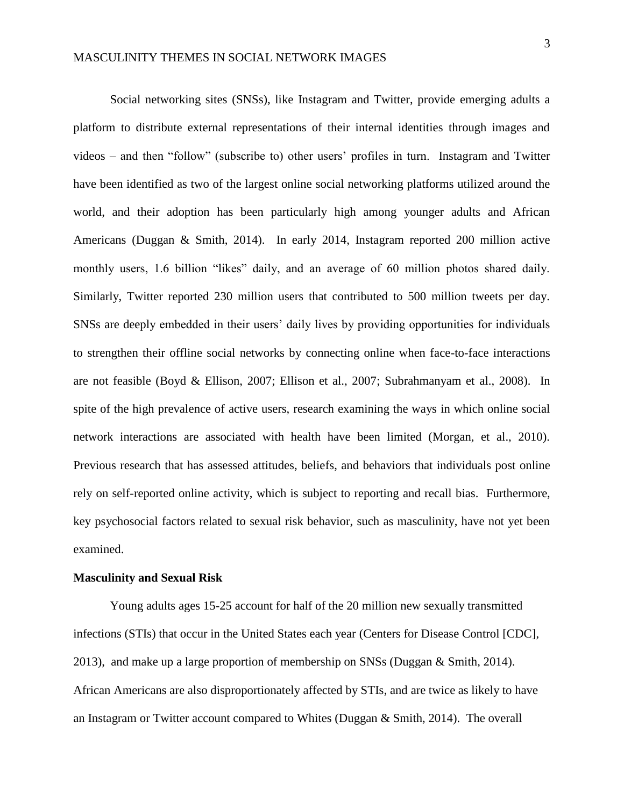Social networking sites (SNSs), like Instagram and Twitter, provide emerging adults a platform to distribute external representations of their internal identities through images and videos – and then "follow" (subscribe to) other users' profiles in turn. Instagram and Twitter have been identified as two of the largest online social networking platforms utilized around the world, and their adoption has been particularly high among younger adults and African Americans (Duggan & Smith, 2014). In early 2014, Instagram reported 200 million active monthly users, 1.6 billion "likes" daily, and an average of 60 million photos shared daily. Similarly, Twitter reported 230 million users that contributed to 500 million tweets per day. SNSs are deeply embedded in their users' daily lives by providing opportunities for individuals to strengthen their offline social networks by connecting online when face-to-face interactions are not feasible (Boyd & Ellison, 2007; Ellison et al., 2007; Subrahmanyam et al., 2008). In spite of the high prevalence of active users, research examining the ways in which online social network interactions are associated with health have been limited (Morgan, et al., 2010). Previous research that has assessed attitudes, beliefs, and behaviors that individuals post online rely on self-reported online activity, which is subject to reporting and recall bias. Furthermore, key psychosocial factors related to sexual risk behavior, such as masculinity, have not yet been examined.

#### **Masculinity and Sexual Risk**

Young adults ages 15-25 account for half of the 20 million new sexually transmitted infections (STIs) that occur in the United States each year (Centers for Disease Control [CDC], 2013), and make up a large proportion of membership on SNSs (Duggan & Smith, 2014). African Americans are also disproportionately affected by STIs, and are twice as likely to have an Instagram or Twitter account compared to Whites (Duggan & Smith, 2014). The overall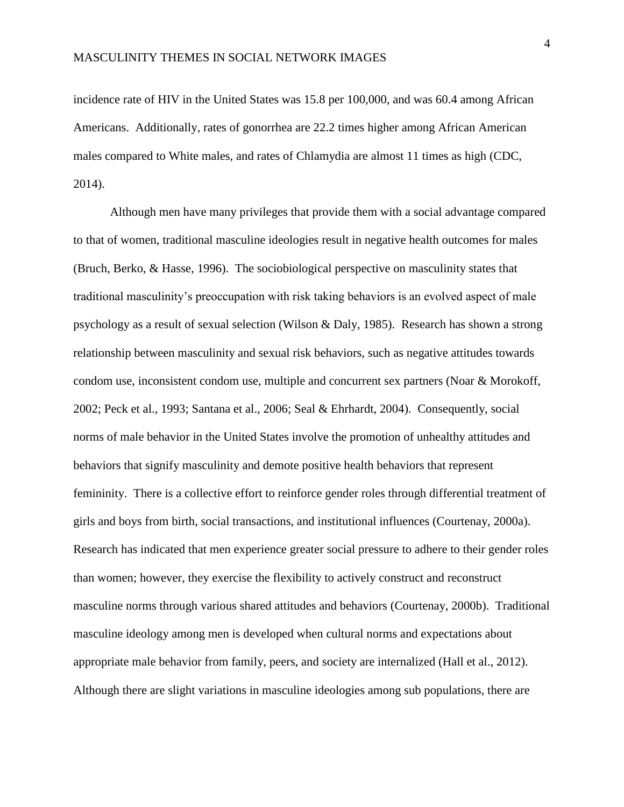incidence rate of HIV in the United States was 15.8 per 100,000, and was 60.4 among African Americans. Additionally, rates of gonorrhea are 22.2 times higher among African American males compared to White males, and rates of Chlamydia are almost 11 times as high (CDC, 2014).

Although men have many privileges that provide them with a social advantage compared to that of women, traditional masculine ideologies result in negative health outcomes for males (Bruch, Berko, & Hasse, 1996). The sociobiological perspective on masculinity states that traditional masculinity's preoccupation with risk taking behaviors is an evolved aspect of male psychology as a result of sexual selection (Wilson & Daly, 1985). Research has shown a strong relationship between masculinity and sexual risk behaviors, such as negative attitudes towards condom use, inconsistent condom use, multiple and concurrent sex partners (Noar & Morokoff, 2002; Peck et al., 1993; Santana et al., 2006; Seal & Ehrhardt, 2004). Consequently, social norms of male behavior in the United States involve the promotion of unhealthy attitudes and behaviors that signify masculinity and demote positive health behaviors that represent femininity. There is a collective effort to reinforce gender roles through differential treatment of girls and boys from birth, social transactions, and institutional influences (Courtenay, 2000a). Research has indicated that men experience greater social pressure to adhere to their gender roles than women; however, they exercise the flexibility to actively construct and reconstruct masculine norms through various shared attitudes and behaviors (Courtenay, 2000b). Traditional masculine ideology among men is developed when cultural norms and expectations about appropriate male behavior from family, peers, and society are internalized (Hall et al., 2012). Although there are slight variations in masculine ideologies among sub populations, there are

4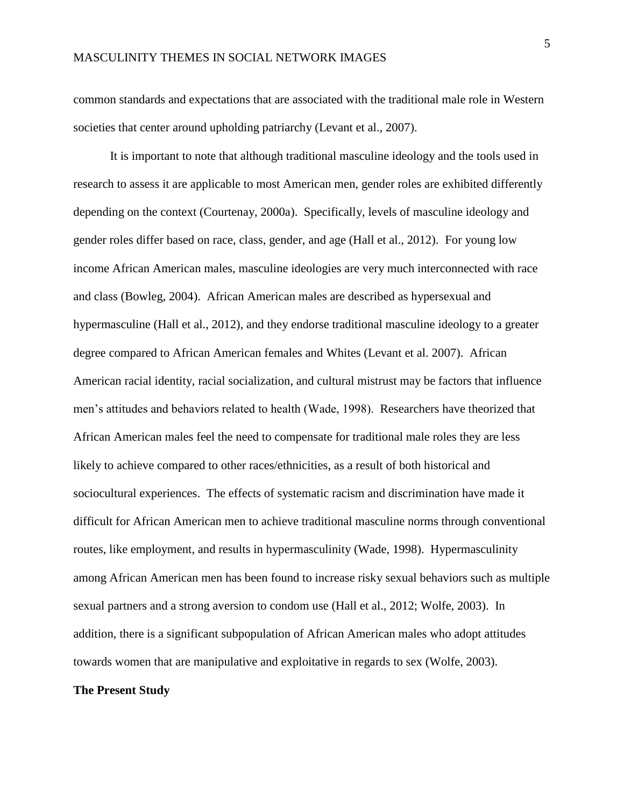common standards and expectations that are associated with the traditional male role in Western societies that center around upholding patriarchy (Levant et al., 2007).

It is important to note that although traditional masculine ideology and the tools used in research to assess it are applicable to most American men, gender roles are exhibited differently depending on the context (Courtenay, 2000a). Specifically, levels of masculine ideology and gender roles differ based on race, class, gender, and age (Hall et al., 2012). For young low income African American males, masculine ideologies are very much interconnected with race and class (Bowleg, 2004). African American males are described as hypersexual and hypermasculine (Hall et al., 2012), and they endorse traditional masculine ideology to a greater degree compared to African American females and Whites (Levant et al. 2007). African American racial identity, racial socialization, and cultural mistrust may be factors that influence men's attitudes and behaviors related to health (Wade, 1998). Researchers have theorized that African American males feel the need to compensate for traditional male roles they are less likely to achieve compared to other races/ethnicities, as a result of both historical and sociocultural experiences. The effects of systematic racism and discrimination have made it difficult for African American men to achieve traditional masculine norms through conventional routes, like employment, and results in hypermasculinity (Wade, 1998). Hypermasculinity among African American men has been found to increase risky sexual behaviors such as multiple sexual partners and a strong aversion to condom use (Hall et al., 2012; Wolfe, 2003). In addition, there is a significant subpopulation of African American males who adopt attitudes towards women that are manipulative and exploitative in regards to sex (Wolfe, 2003).

### **The Present Study**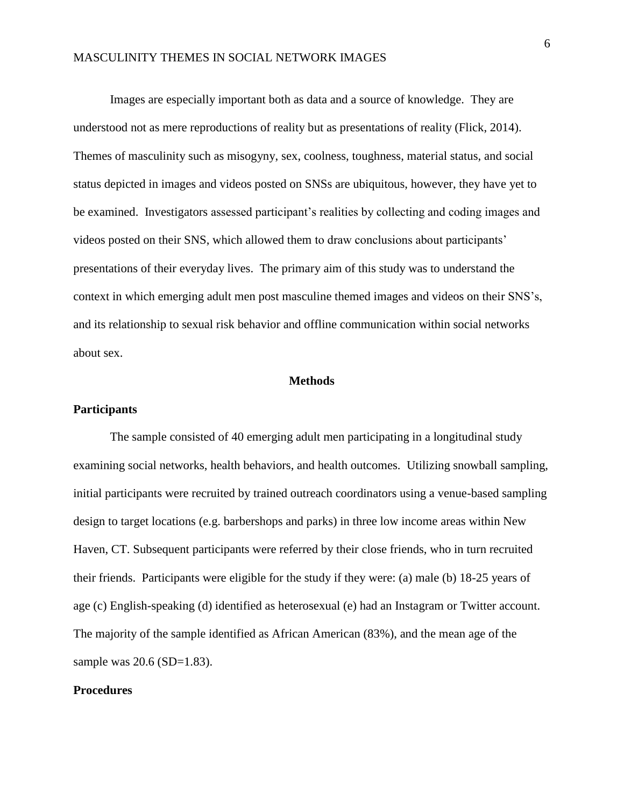Images are especially important both as data and a source of knowledge. They are understood not as mere reproductions of reality but as presentations of reality (Flick, 2014). Themes of masculinity such as misogyny, sex, coolness, toughness, material status, and social status depicted in images and videos posted on SNSs are ubiquitous, however, they have yet to be examined. Investigators assessed participant's realities by collecting and coding images and videos posted on their SNS, which allowed them to draw conclusions about participants' presentations of their everyday lives. The primary aim of this study was to understand the context in which emerging adult men post masculine themed images and videos on their SNS's, and its relationship to sexual risk behavior and offline communication within social networks about sex.

#### **Methods**

#### **Participants**

The sample consisted of 40 emerging adult men participating in a longitudinal study examining social networks, health behaviors, and health outcomes. Utilizing snowball sampling, initial participants were recruited by trained outreach coordinators using a venue-based sampling design to target locations (e.g. barbershops and parks) in three low income areas within New Haven, CT. Subsequent participants were referred by their close friends, who in turn recruited their friends. Participants were eligible for the study if they were: (a) male (b) 18-25 years of age (c) English-speaking (d) identified as heterosexual (e) had an Instagram or Twitter account. The majority of the sample identified as African American (83%), and the mean age of the sample was 20.6 (SD=1.83).

#### **Procedures**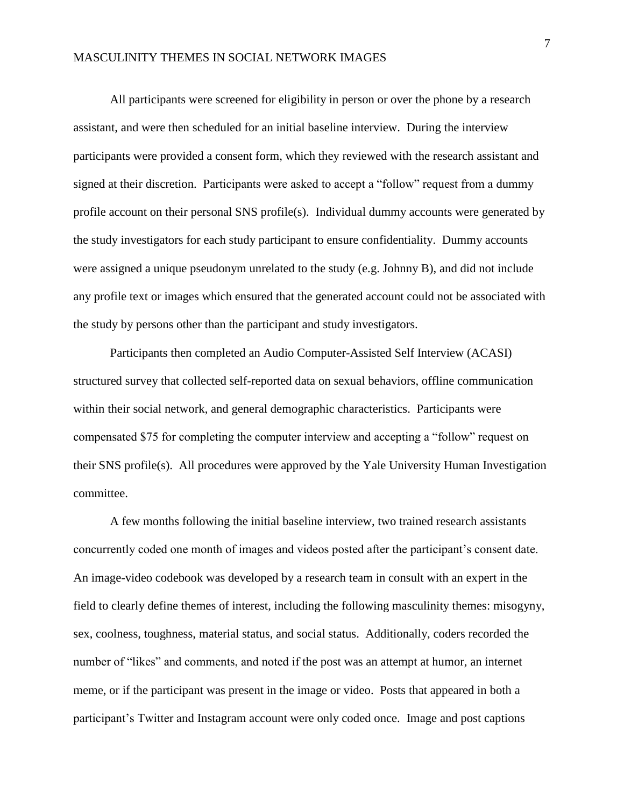All participants were screened for eligibility in person or over the phone by a research assistant, and were then scheduled for an initial baseline interview. During the interview participants were provided a consent form, which they reviewed with the research assistant and signed at their discretion. Participants were asked to accept a "follow" request from a dummy profile account on their personal SNS profile(s). Individual dummy accounts were generated by the study investigators for each study participant to ensure confidentiality. Dummy accounts were assigned a unique pseudonym unrelated to the study (e.g. Johnny B), and did not include any profile text or images which ensured that the generated account could not be associated with the study by persons other than the participant and study investigators.

Participants then completed an Audio Computer-Assisted Self Interview (ACASI) structured survey that collected self-reported data on sexual behaviors, offline communication within their social network, and general demographic characteristics. Participants were compensated \$75 for completing the computer interview and accepting a "follow" request on their SNS profile(s). All procedures were approved by the Yale University Human Investigation committee.

A few months following the initial baseline interview, two trained research assistants concurrently coded one month of images and videos posted after the participant's consent date. An image-video codebook was developed by a research team in consult with an expert in the field to clearly define themes of interest, including the following masculinity themes: misogyny, sex, coolness, toughness, material status, and social status. Additionally, coders recorded the number of "likes" and comments, and noted if the post was an attempt at humor, an internet meme, or if the participant was present in the image or video. Posts that appeared in both a participant's Twitter and Instagram account were only coded once. Image and post captions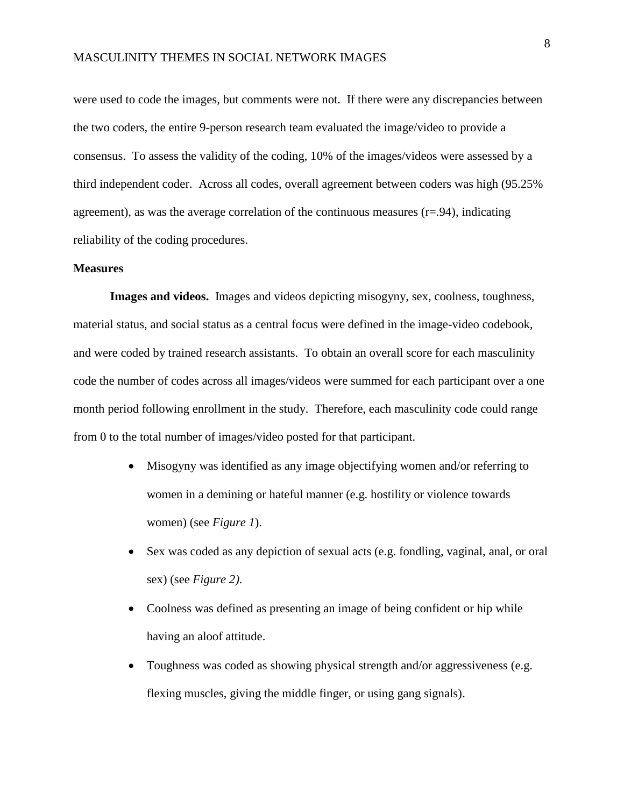were used to code the images, but comments were not. If there were any discrepancies between the two coders, the entire 9-person research team evaluated the image/video to provide a consensus. To assess the validity of the coding, 10% of the images/videos were assessed by a third independent coder. Across all codes, overall agreement between coders was high (95.25% agreement), as was the average correlation of the continuous measures  $(r=0.94)$ , indicating reliability of the coding procedures.

#### **Measures**

**Images and videos.** Images and videos depicting misogyny, sex, coolness, toughness, material status, and social status as a central focus were defined in the image-video codebook, and were coded by trained research assistants. To obtain an overall score for each masculinity code the number of codes across all images/videos were summed for each participant over a one month period following enrollment in the study. Therefore, each masculinity code could range from 0 to the total number of images/video posted for that participant.

- Misogyny was identified as any image objectifying women and/or referring to women in a demining or hateful manner (e.g. hostility or violence towards women) (see *Figure 1*).
- Sex was coded as any depiction of sexual acts (e.g. fondling, vaginal, anal, or oral sex) (see *Figure 2)*.
- Coolness was defined as presenting an image of being confident or hip while having an aloof attitude.
- Toughness was coded as showing physical strength and/or aggressiveness (e.g. flexing muscles, giving the middle finger, or using gang signals).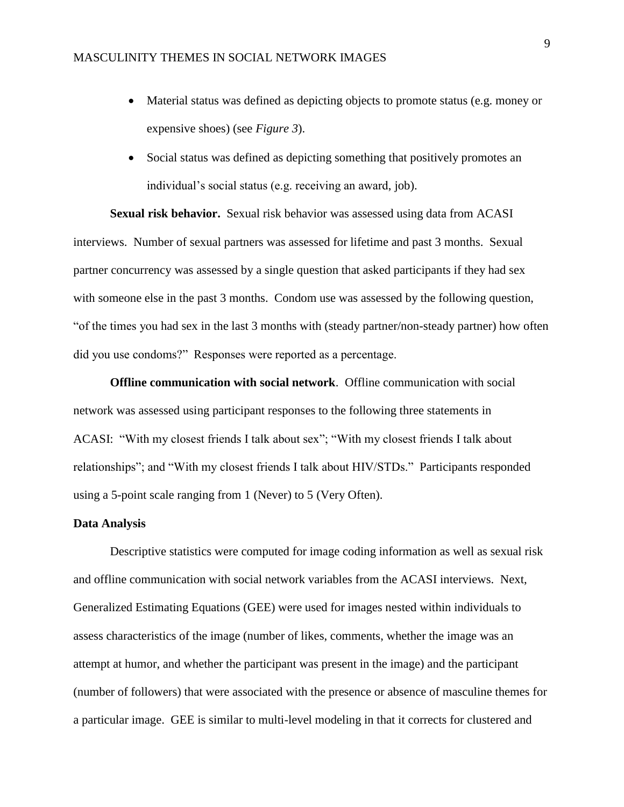- Material status was defined as depicting objects to promote status (e.g. money or expensive shoes) (see *Figure 3*).
- Social status was defined as depicting something that positively promotes an individual's social status (e.g. receiving an award, job).

**Sexual risk behavior.** Sexual risk behavior was assessed using data from ACASI interviews. Number of sexual partners was assessed for lifetime and past 3 months. Sexual partner concurrency was assessed by a single question that asked participants if they had sex with someone else in the past 3 months. Condom use was assessed by the following question, "of the times you had sex in the last 3 months with (steady partner/non-steady partner) how often did you use condoms?" Responses were reported as a percentage.

**Offline communication with social network**. Offline communication with social network was assessed using participant responses to the following three statements in ACASI: "With my closest friends I talk about sex"; "With my closest friends I talk about relationships"; and "With my closest friends I talk about HIV/STDs." Participants responded using a 5-point scale ranging from 1 (Never) to 5 (Very Often).

### **Data Analysis**

Descriptive statistics were computed for image coding information as well as sexual risk and offline communication with social network variables from the ACASI interviews. Next, Generalized Estimating Equations (GEE) were used for images nested within individuals to assess characteristics of the image (number of likes, comments, whether the image was an attempt at humor, and whether the participant was present in the image) and the participant (number of followers) that were associated with the presence or absence of masculine themes for a particular image. GEE is similar to multi-level modeling in that it corrects for clustered and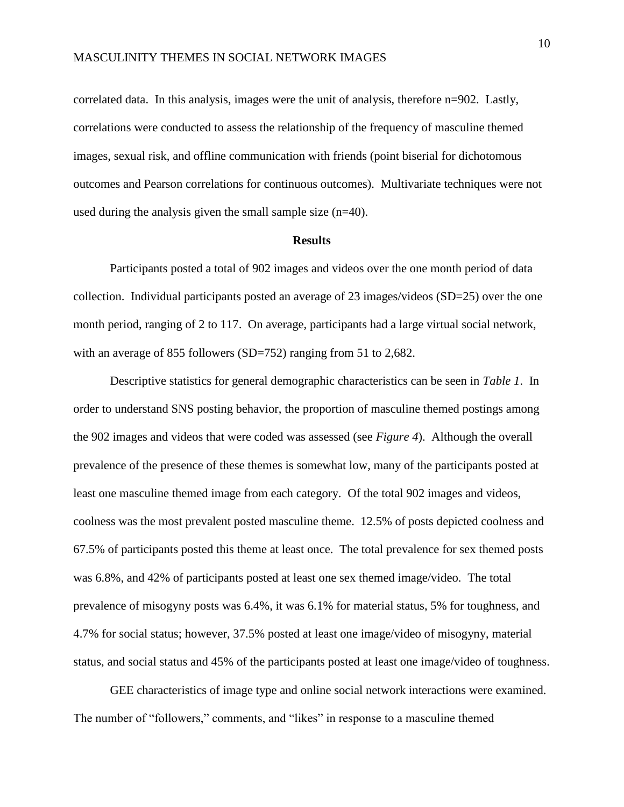correlated data. In this analysis, images were the unit of analysis, therefore n=902. Lastly, correlations were conducted to assess the relationship of the frequency of masculine themed images, sexual risk, and offline communication with friends (point biserial for dichotomous outcomes and Pearson correlations for continuous outcomes). Multivariate techniques were not used during the analysis given the small sample size (n=40).

#### **Results**

Participants posted a total of 902 images and videos over the one month period of data collection. Individual participants posted an average of 23 images/videos (SD=25) over the one month period, ranging of 2 to 117. On average, participants had a large virtual social network, with an average of 855 followers (SD=752) ranging from 51 to 2,682.

Descriptive statistics for general demographic characteristics can be seen in *Table 1*. In order to understand SNS posting behavior, the proportion of masculine themed postings among the 902 images and videos that were coded was assessed (see *Figure 4*). Although the overall prevalence of the presence of these themes is somewhat low, many of the participants posted at least one masculine themed image from each category. Of the total 902 images and videos, coolness was the most prevalent posted masculine theme. 12.5% of posts depicted coolness and 67.5% of participants posted this theme at least once. The total prevalence for sex themed posts was 6.8%, and 42% of participants posted at least one sex themed image/video. The total prevalence of misogyny posts was 6.4%, it was 6.1% for material status, 5% for toughness, and 4.7% for social status; however, 37.5% posted at least one image/video of misogyny, material status, and social status and 45% of the participants posted at least one image/video of toughness.

GEE characteristics of image type and online social network interactions were examined. The number of "followers," comments, and "likes" in response to a masculine themed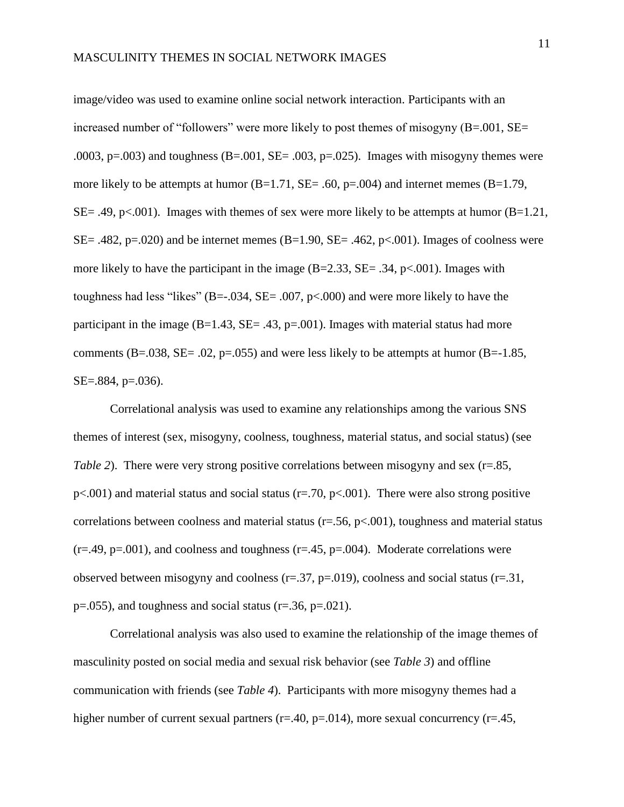image/video was used to examine online social network interaction. Participants with an increased number of "followers" were more likely to post themes of misogyny (B=.001, SE= .0003,  $p=.003$ ) and toughness (B=.001, SE= .003,  $p=.025$ ). Images with misogyny themes were more likely to be attempts at humor  $(B=1.71, SE=.60, p=.004)$  and internet memes  $(B=1.79,$ SE= .49, p<.001). Images with themes of sex were more likely to be attempts at humor  $(B=1.21)$ ,  $SE = .482$ ,  $p = .020$ ) and be internet memes ( $B = 1.90$ ,  $SE = .462$ ,  $p < .001$ ). Images of coolness were more likely to have the participant in the image  $(B=2.33, SE=.34, p<.001)$ . Images with toughness had less "likes" (B=-.034, SE= .007, p<.000) and were more likely to have the participant in the image  $(B=1.43, SE=.43, p=.001)$ . Images with material status had more comments (B=.038, SE= .02, p=.055) and were less likely to be attempts at humor (B= $-1.85$ , SE=.884, p=.036).

Correlational analysis was used to examine any relationships among the various SNS themes of interest (sex, misogyny, coolness, toughness, material status, and social status) (see *Table 2*). There were very strong positive correlations between misogyny and sex (r=.85,  $p<.001$ ) and material status and social status (r=.70,  $p<.001$ ). There were also strong positive correlations between coolness and material status ( $r = .56$ ,  $p < .001$ ), toughness and material status  $(r=.49, p=.001)$ , and coolness and toughness  $(r=.45, p=.004)$ . Moderate correlations were observed between misogyny and coolness  $(r=.37, p=.019)$ , coolness and social status  $(r=.31,$  $p=.055$ ), and toughness and social status ( $r=.36$ ,  $p=.021$ ).

Correlational analysis was also used to examine the relationship of the image themes of masculinity posted on social media and sexual risk behavior (see *Table 3*) and offline communication with friends (see *Table 4*). Participants with more misogyny themes had a higher number of current sexual partners ( $r=40$ ,  $p=.014$ ), more sexual concurrency ( $r=.45$ ,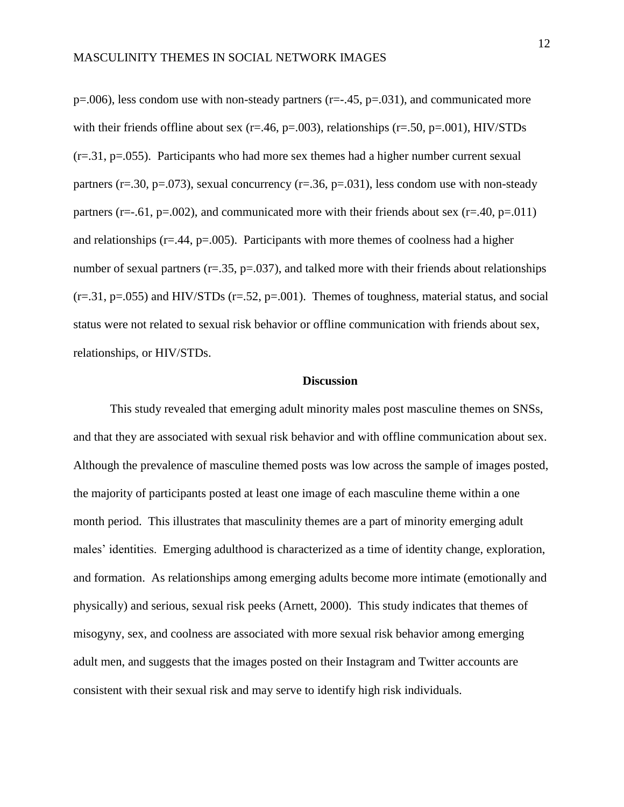$p=0.006$ ), less condom use with non-steady partners (r= $-0.45$ , p= $0.031$ ), and communicated more with their friends offline about sex ( $r = .46$ ,  $p = .003$ ), relationships ( $r = .50$ ,  $p = .001$ ), HIV/STDs (r=.31, p=.055). Participants who had more sex themes had a higher number current sexual partners (r=.30, p=.073), sexual concurrency (r=.36, p=.031), less condom use with non-steady partners (r= $-0.61$ , p= $0.002$ ), and communicated more with their friends about sex (r= $0.40$ , p= $0.011$ ) and relationships ( $r = .44$ ,  $p = .005$ ). Participants with more themes of coolness had a higher number of sexual partners ( $r = .35$ ,  $p = .037$ ), and talked more with their friends about relationships  $(r=.31, p=.055)$  and HIV/STDs  $(r=.52, p=.001)$ . Themes of toughness, material status, and social status were not related to sexual risk behavior or offline communication with friends about sex, relationships, or HIV/STDs.

#### **Discussion**

This study revealed that emerging adult minority males post masculine themes on SNSs, and that they are associated with sexual risk behavior and with offline communication about sex. Although the prevalence of masculine themed posts was low across the sample of images posted, the majority of participants posted at least one image of each masculine theme within a one month period. This illustrates that masculinity themes are a part of minority emerging adult males' identities. Emerging adulthood is characterized as a time of identity change, exploration, and formation. As relationships among emerging adults become more intimate (emotionally and physically) and serious, sexual risk peeks (Arnett, 2000). This study indicates that themes of misogyny, sex, and coolness are associated with more sexual risk behavior among emerging adult men, and suggests that the images posted on their Instagram and Twitter accounts are consistent with their sexual risk and may serve to identify high risk individuals.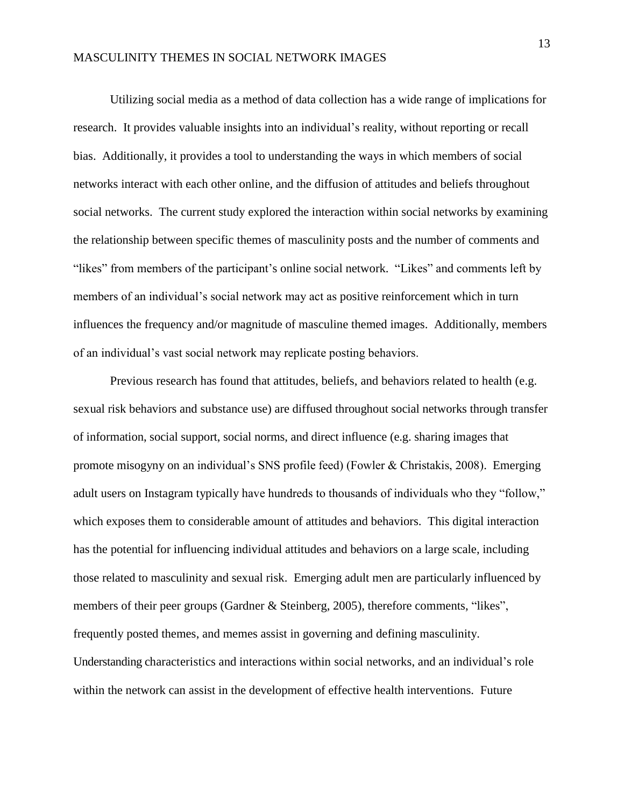Utilizing social media as a method of data collection has a wide range of implications for research. It provides valuable insights into an individual's reality, without reporting or recall bias. Additionally, it provides a tool to understanding the ways in which members of social networks interact with each other online, and the diffusion of attitudes and beliefs throughout social networks. The current study explored the interaction within social networks by examining the relationship between specific themes of masculinity posts and the number of comments and "likes" from members of the participant's online social network. "Likes" and comments left by members of an individual's social network may act as positive reinforcement which in turn influences the frequency and/or magnitude of masculine themed images. Additionally, members of an individual's vast social network may replicate posting behaviors.

Previous research has found that attitudes, beliefs, and behaviors related to health (e.g. sexual risk behaviors and substance use) are diffused throughout social networks through transfer of information, social support, social norms, and direct influence (e.g. sharing images that promote misogyny on an individual's SNS profile feed) (Fowler & Christakis, 2008). Emerging adult users on Instagram typically have hundreds to thousands of individuals who they "follow," which exposes them to considerable amount of attitudes and behaviors. This digital interaction has the potential for influencing individual attitudes and behaviors on a large scale, including those related to masculinity and sexual risk. Emerging adult men are particularly influenced by members of their peer groups (Gardner & Steinberg, 2005), therefore comments, "likes", frequently posted themes, and memes assist in governing and defining masculinity. Understanding characteristics and interactions within social networks, and an individual's role within the network can assist in the development of effective health interventions. Future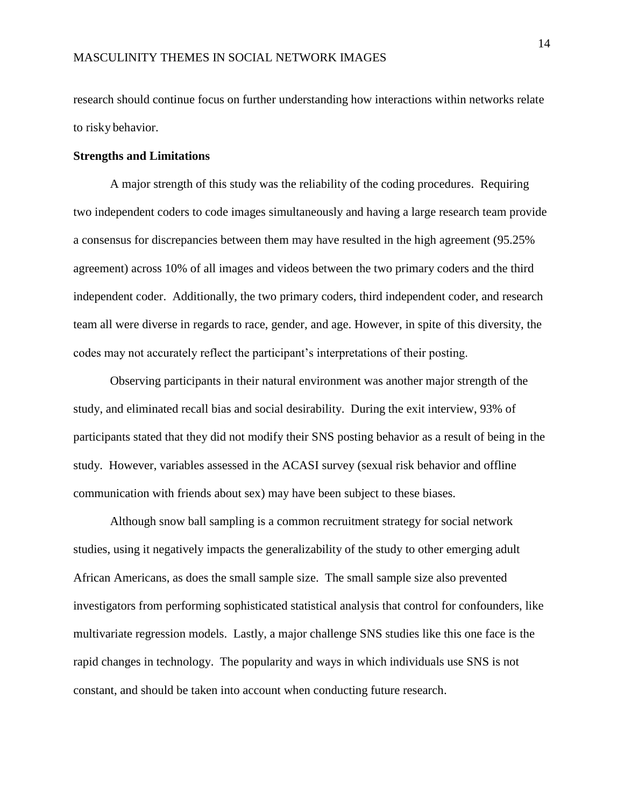research should continue focus on further understanding how interactions within networks relate to risky behavior.

#### **Strengths and Limitations**

A major strength of this study was the reliability of the coding procedures. Requiring two independent coders to code images simultaneously and having a large research team provide a consensus for discrepancies between them may have resulted in the high agreement (95.25% agreement) across 10% of all images and videos between the two primary coders and the third independent coder. Additionally, the two primary coders, third independent coder, and research team all were diverse in regards to race, gender, and age. However, in spite of this diversity, the codes may not accurately reflect the participant's interpretations of their posting.

Observing participants in their natural environment was another major strength of the study, and eliminated recall bias and social desirability. During the exit interview, 93% of participants stated that they did not modify their SNS posting behavior as a result of being in the study. However, variables assessed in the ACASI survey (sexual risk behavior and offline communication with friends about sex) may have been subject to these biases.

Although snow ball sampling is a common recruitment strategy for social network studies, using it negatively impacts the generalizability of the study to other emerging adult African Americans, as does the small sample size. The small sample size also prevented investigators from performing sophisticated statistical analysis that control for confounders, like multivariate regression models. Lastly, a major challenge SNS studies like this one face is the rapid changes in technology. The popularity and ways in which individuals use SNS is not constant, and should be taken into account when conducting future research.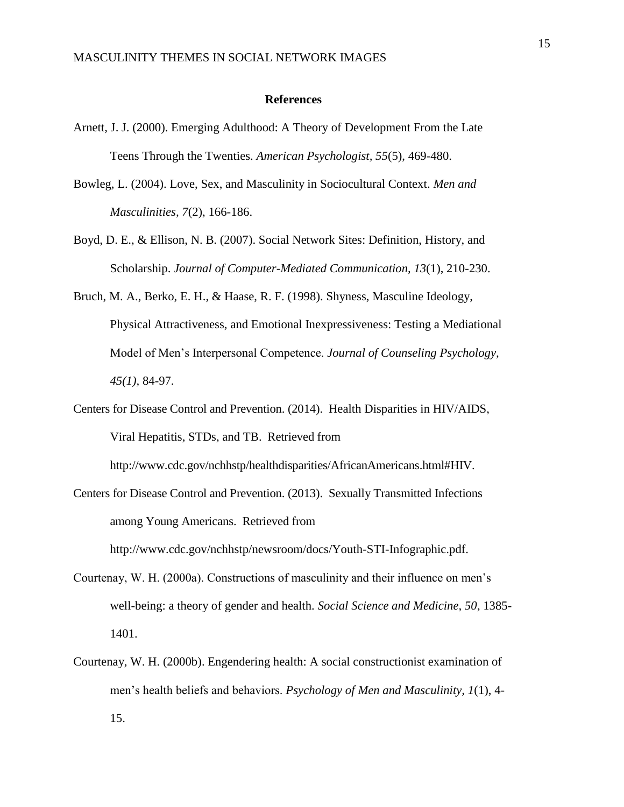#### **References**

- Arnett, J. J. (2000). Emerging Adulthood: A Theory of Development From the Late Teens Through the Twenties. *American Psychologist, 55*(5), 469-480.
- Bowleg, L. (2004). Love, Sex, and Masculinity in Sociocultural Context. *Men and Masculinities, 7*(2), 166-186.
- Boyd, D. E., & Ellison, N. B. (2007). Social Network Sites: Definition, History, and Scholarship. *Journal of Computer-Mediated Communication, 13*(1), 210-230.
- Bruch, M. A., Berko, E. H., & Haase, R. F. (1998). Shyness, Masculine Ideology, Physical Attractiveness, and Emotional Inexpressiveness: Testing a Mediational Model of Men's Interpersonal Competence. *Journal of Counseling Psychology, 45(1),* 84-97.
- Centers for Disease Control and Prevention. (2014). Health Disparities in HIV/AIDS, Viral Hepatitis, STDs, and TB. Retrieved from

http://www.cdc.gov/nchhstp/healthdisparities/AfricanAmericans.html#HIV.

- Centers for Disease Control and Prevention. (2013). Sexually Transmitted Infections among Young Americans. Retrieved from http://www.cdc.gov/nchhstp/newsroom/docs/Youth-STI-Infographic.pdf.
- Courtenay, W. H. (2000a). Constructions of masculinity and their influence on men's well-being: a theory of gender and health. *Social Science and Medicine, 50*, 1385- 1401.
- Courtenay, W. H. (2000b). Engendering health: A social constructionist examination of men's health beliefs and behaviors. *Psychology of Men and Masculinity, 1*(1), 4- 15.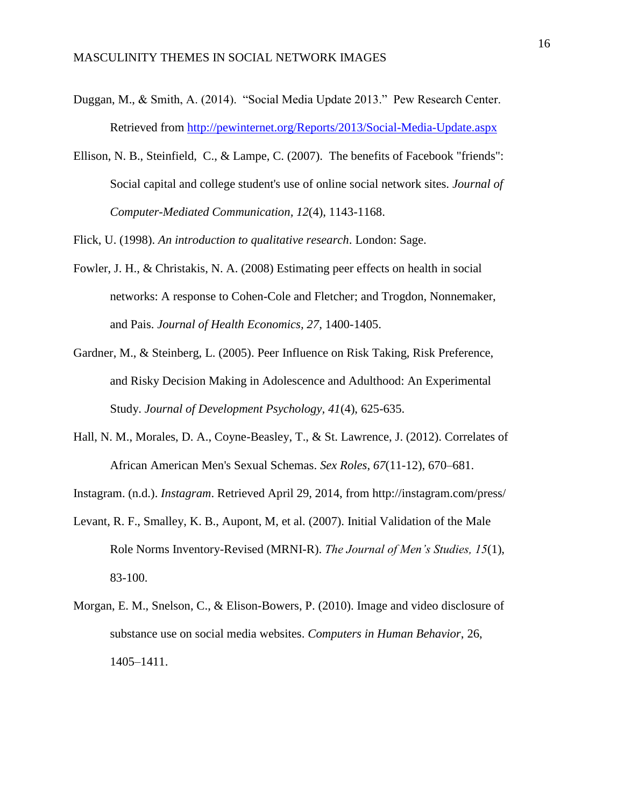- Duggan, M., & Smith, A. (2014). "Social Media Update 2013." Pew Research Center. Retrieved from<http://pewinternet.org/Reports/2013/Social-Media-Update.aspx>
- Ellison, N. B., Steinfield, C., & Lampe, C. (2007). The benefits of Facebook "friends": Social capital and college student's use of online social network sites. *Journal of Computer-Mediated Communication, 12*(4), 1143-1168.

Flick, U. (1998). *An introduction to qualitative research*. London: Sage.

- Fowler, J. H., & Christakis, N. A. (2008) Estimating peer effects on health in social networks: A response to Cohen-Cole and Fletcher; and Trogdon, Nonnemaker, and Pais. *Journal of Health Economics, 27*, 1400-1405.
- Gardner, M., & Steinberg, L. (2005). Peer Influence on Risk Taking, Risk Preference, and Risky Decision Making in Adolescence and Adulthood: An Experimental Study. *Journal of Development Psychology, 41*(4), 625-635.
- Hall, N. M., Morales, D. A., Coyne-Beasley, T., & St. Lawrence, J. (2012). Correlates of African American Men's Sexual Schemas. *Sex Roles*, *67*(11-12), 670–681.

Instagram. (n.d.). *Instagram*. Retrieved April 29, 2014, from http://instagram.com/press/

- Levant, R. F., Smalley, K. B., Aupont, M, et al. (2007). Initial Validation of the Male Role Norms Inventory-Revised (MRNI-R). *The Journal of Men's Studies, 15*(1), 83-100.
- Morgan, E. M., Snelson, C., & Elison-Bowers, P. (2010). Image and video disclosure of substance use on social media websites. *Computers in Human Behavior*, 26, 1405–1411.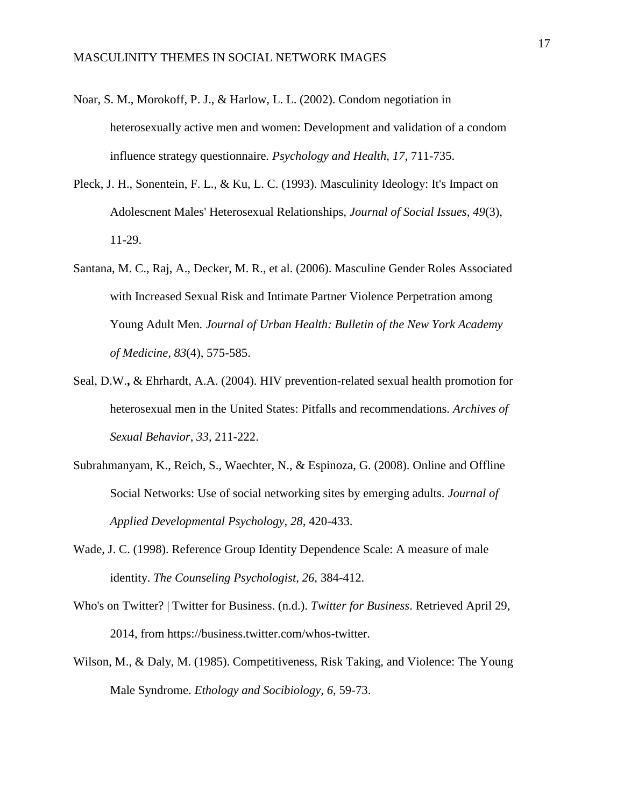- Noar, S. M., Morokoff, P. J., & Harlow, L. L. (2002). Condom negotiation in heterosexually active men and women: Development and validation of a condom influence strategy questionnaire*. Psychology and Health, 17*, 711-735.
- Pleck, J. H., Sonentein, F. L., & Ku, L. C. (1993). Masculinity Ideology: It's Impact on Adolescnent Males' Heterosexual Relationships, *Journal of Social Issues, 49*(3), 11-29.
- Santana, M. C., Raj, A., Decker, M. R., et al. (2006). Masculine Gender Roles Associated with Increased Sexual Risk and Intimate Partner Violence Perpetration among Young Adult Men*. Journal of Urban Health: Bulletin of the New York Academy of Medicine, 83*(4), 575-585.
- Seal, D.W.**,** & Ehrhardt, A.A. (2004). HIV prevention-related sexual health promotion for heterosexual men in the United States: Pitfalls and recommendations. *Archives of Sexual Behavior, 33*, 211-222.
- Subrahmanyam, K., Reich, S., Waechter, N., & Espinoza, G. (2008). Online and Offline Social Networks: Use of social networking sites by emerging adults. *Journal of Applied Developmental Psychology, 28*, 420-433.
- Wade, J. C. (1998). Reference Group Identity Dependence Scale: A measure of male identity. *The Counseling Psychologist, 26,* 384-412.
- Who's on Twitter? | Twitter for Business. (n.d.). *Twitter for Business*. Retrieved April 29, 2014, from https://business.twitter.com/whos-twitter.
- Wilson, M., & Daly, M. (1985). Competitiveness, Risk Taking, and Violence: The Young Male Syndrome. *Ethology and Socibiology, 6,* 59-73.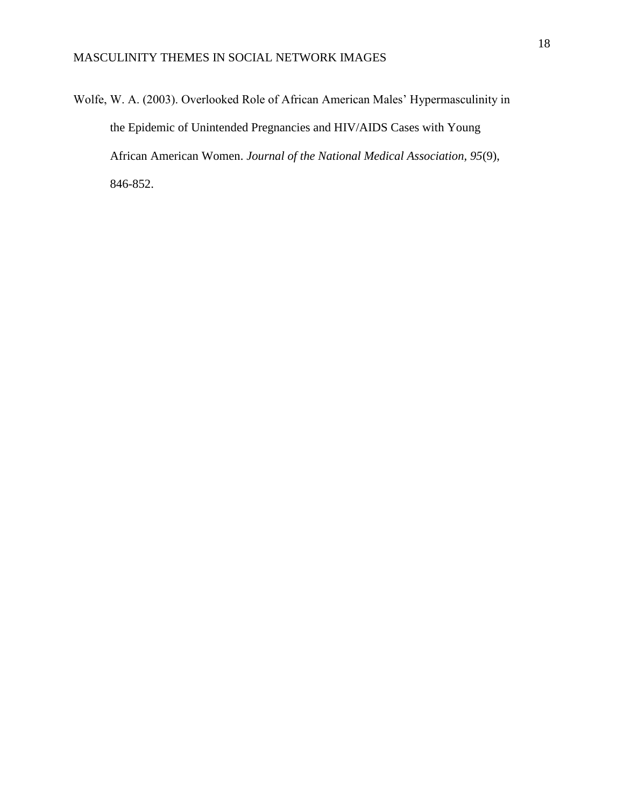Wolfe, W. A. (2003). Overlooked Role of African American Males' Hypermasculinity in the Epidemic of Unintended Pregnancies and HIV/AIDS Cases with Young African American Women. *Journal of the National Medical Association, 95*(9), 846-852.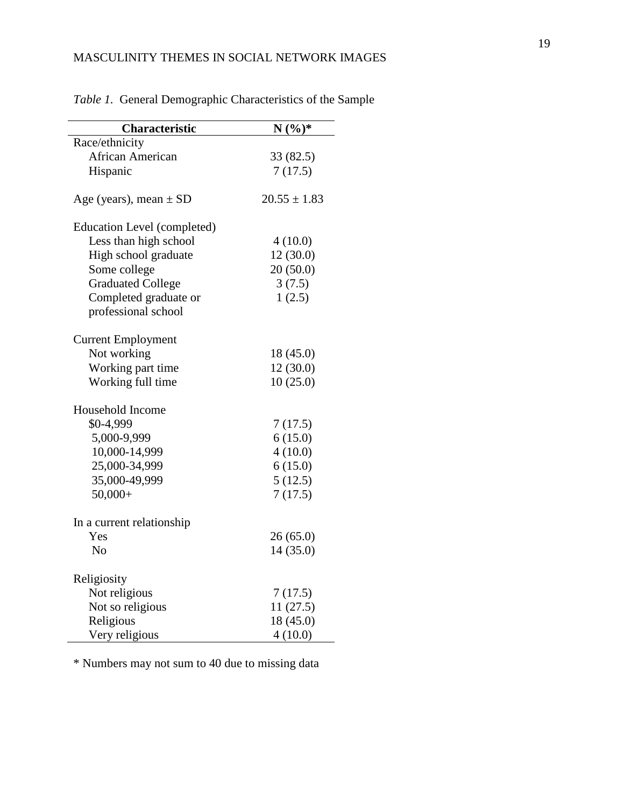| <b>Characteristic</b>       | $N(%)*$          |
|-----------------------------|------------------|
| Race/ethnicity              |                  |
| African American            | 33 (82.5)        |
| Hispanic                    | 7(17.5)          |
| Age (years), mean $\pm$ SD  | $20.55 \pm 1.83$ |
| Education Level (completed) |                  |
| Less than high school       | 4(10.0)          |
| High school graduate        | 12(30.0)         |
| Some college                | 20(50.0)         |
| <b>Graduated College</b>    | 3(7.5)           |
| Completed graduate or       | 1(2.5)           |
| professional school         |                  |
| <b>Current Employment</b>   |                  |
| Not working                 | 18 (45.0)        |
| Working part time           | 12(30.0)         |
| Working full time           | 10(25.0)         |
| Household Income            |                  |
| \$0-4,999                   | 7(17.5)          |
| 5,000-9,999                 | 6(15.0)          |
| 10,000-14,999               | 4(10.0)          |
| 25,000-34,999               | 6(15.0)          |
| 35,000-49,999               | 5(12.5)          |
| $50,000+$                   | 7(17.5)          |
| In a current relationship   |                  |
| Yes                         | 26(65.0)         |
| N <sub>o</sub>              | 14 (35.0)        |
| Religiosity                 |                  |
| Not religious               | 7(17.5)          |
| Not so religious            | 11(27.5)         |
| Religious                   | 18 (45.0)        |
| Very religious              | 4(10.0)          |

*Table 1.* General Demographic Characteristics of the Sample

\* Numbers may not sum to 40 due to missing data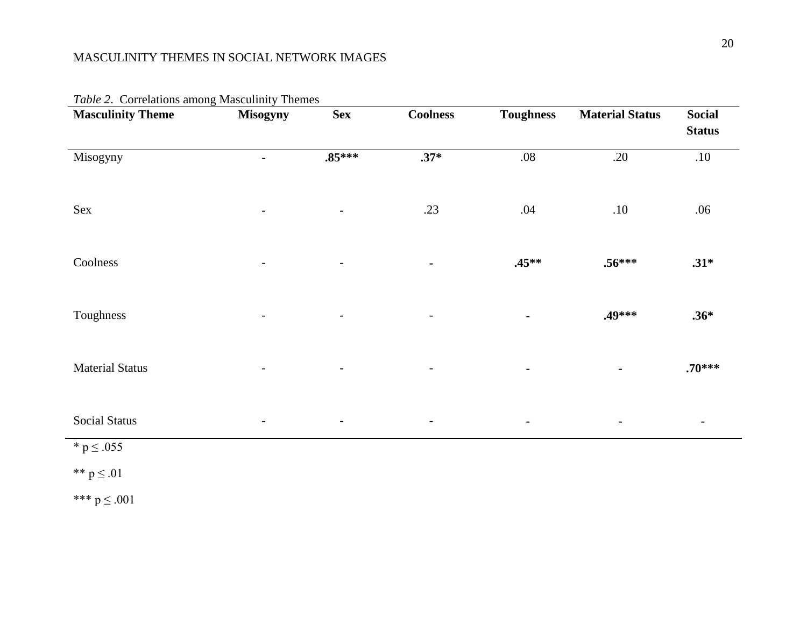| were <b>2</b> . Correlations also has estimately intented<br><b>Masculinity Theme</b> | Misogyny       | <b>Sex</b>               | <b>Coolness</b>          | <b>Toughness</b> | <b>Material Status</b> | <b>Social</b><br><b>Status</b> |
|---------------------------------------------------------------------------------------|----------------|--------------------------|--------------------------|------------------|------------------------|--------------------------------|
| Misogyny                                                                              | $\blacksquare$ | $.85***$                 | $.37*$                   | $.08\,$          | .20                    | .10                            |
| Sex                                                                                   |                | $\blacksquare$           | .23                      | .04              | .10                    | .06                            |
| Coolness                                                                              |                | $\overline{a}$           | $\blacksquare$           | $.45***$         | $.56***$               | $.31*$                         |
| Toughness                                                                             |                | $\overline{\phantom{a}}$ | $\overline{\phantom{a}}$ |                  | .49***                 | $.36*$                         |
| <b>Material Status</b>                                                                |                |                          |                          |                  |                        | $.70***$                       |
| <b>Social Status</b>                                                                  |                | $\overline{\phantom{a}}$ | $\overline{\phantom{a}}$ | $\blacksquare$   | $\blacksquare$         | $\blacksquare$                 |
| $*$ p $\leq .055$                                                                     |                |                          |                          |                  |                        |                                |
| ** $p \le .01$                                                                        |                |                          |                          |                  |                        |                                |
| *** $p \le .001$                                                                      |                |                          |                          |                  |                        |                                |

*Table 2*. Correlations among Masculinity Themes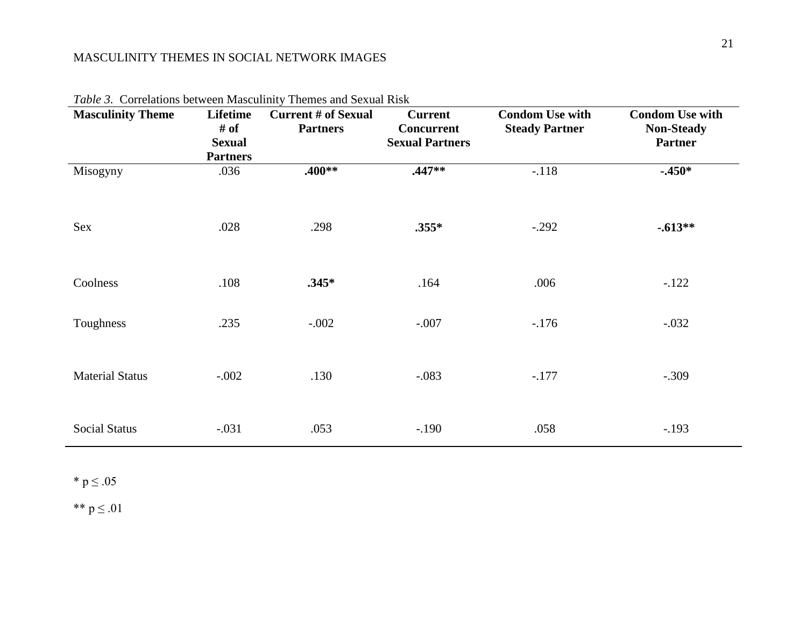| $\alpha$ $\beta$ . Content one cent to the continuous<br><b>Masculinity Theme</b> | Lifetime<br># of<br><b>Sexual</b><br><b>Partners</b> | Themes and Bendar Tust<br><b>Current # of Sexual</b><br><b>Partners</b> | <b>Current</b><br><b>Concurrent</b><br><b>Sexual Partners</b> | <b>Condom Use with</b><br><b>Steady Partner</b> | <b>Condom Use with</b><br><b>Non-Steady</b><br><b>Partner</b> |
|-----------------------------------------------------------------------------------|------------------------------------------------------|-------------------------------------------------------------------------|---------------------------------------------------------------|-------------------------------------------------|---------------------------------------------------------------|
| Misogyny                                                                          | .036                                                 | .400**                                                                  | $.447**$                                                      | $-.118$                                         | $-0.450*$                                                     |
| Sex                                                                               | .028                                                 | .298                                                                    | $.355*$                                                       | $-.292$                                         | $-.613**$                                                     |
| Coolness                                                                          | .108                                                 | $.345*$                                                                 | .164                                                          | .006                                            | $-.122$                                                       |
| Toughness                                                                         | .235                                                 | $-.002$                                                                 | $-.007$                                                       | $-176$                                          | $-.032$                                                       |
| <b>Material Status</b>                                                            | $-.002$                                              | .130                                                                    | $-.083$                                                       | $-.177$                                         | $-.309$                                                       |
| <b>Social Status</b>                                                              | $-.031$                                              | .053                                                                    | $-190$                                                        | .058                                            | $-.193$                                                       |

*Table 3.* Correlations between Masculinity Themes and Sexual Risk

 $^*$  p  $\leq .05$ 

\*\*  $p \le .01$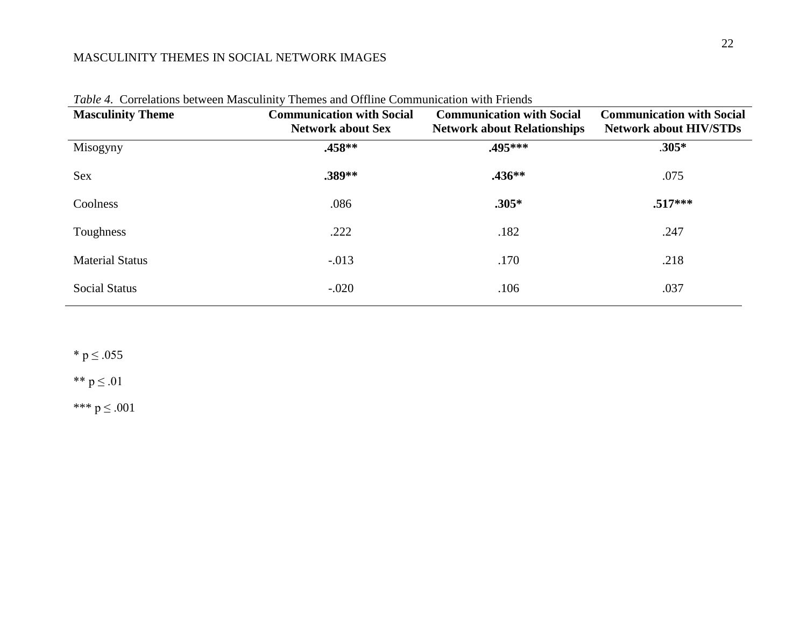| <b>Masculinity Theme</b> | <b>Communication with Social</b><br><b>Network about Sex</b> | <b>Communication with Social</b><br><b>Network about Relationships</b> | <b>Communication with Social</b><br><b>Network about HIV/STDs</b> |
|--------------------------|--------------------------------------------------------------|------------------------------------------------------------------------|-------------------------------------------------------------------|
| Misogyny                 | $.458**$                                                     | .495***                                                                | $.305*$                                                           |
| <b>Sex</b>               | .389**                                                       | $.436**$                                                               | .075                                                              |
| Coolness                 | .086                                                         | $.305*$                                                                | $.517***$                                                         |
| Toughness                | .222                                                         | .182                                                                   | .247                                                              |
| <b>Material Status</b>   | $-0.013$                                                     | .170                                                                   | .218                                                              |
| <b>Social Status</b>     | $-.020$                                                      | .106                                                                   | .037                                                              |

*Table 4.* Correlations between Masculinity Themes and Offline Communication with Friends

 $*$  p  $\leq .055$ 

\*\*  $p \le .01$ 

\*\*\*  $p \le .001$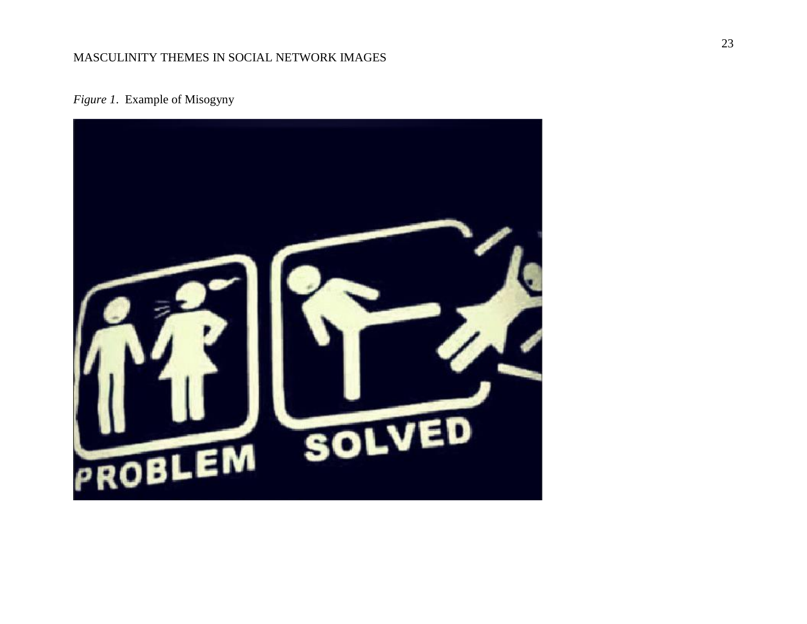*Figure 1*. Example of Misogyny

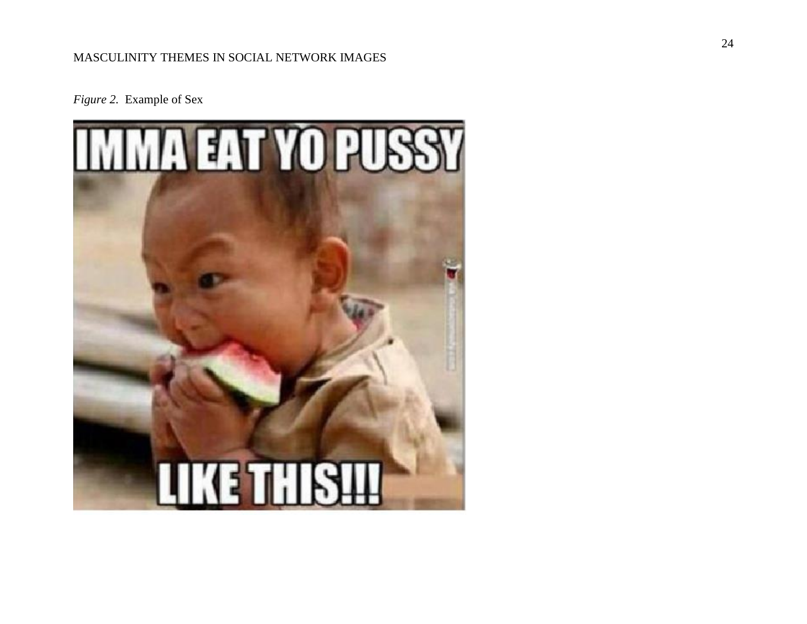*Figure 2.* Example of Sex

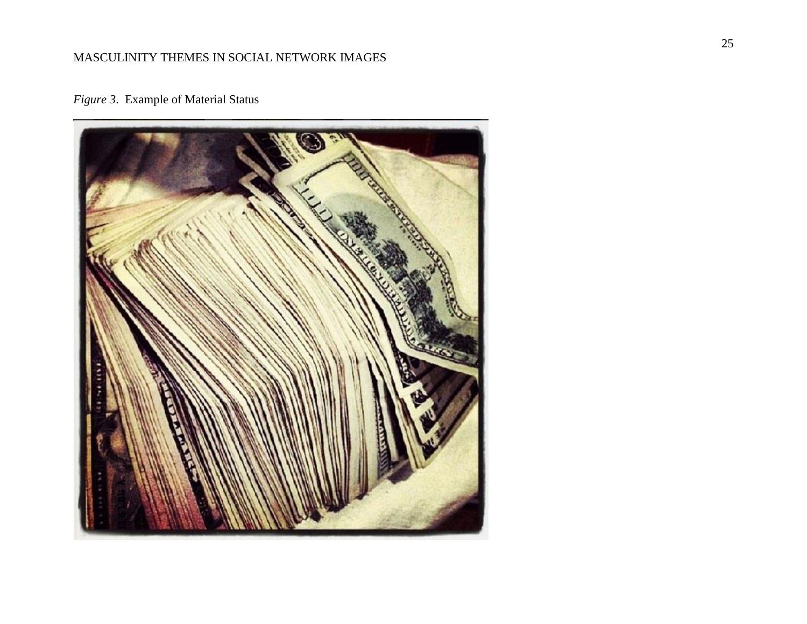

*Figure 3*. Example of Material Status